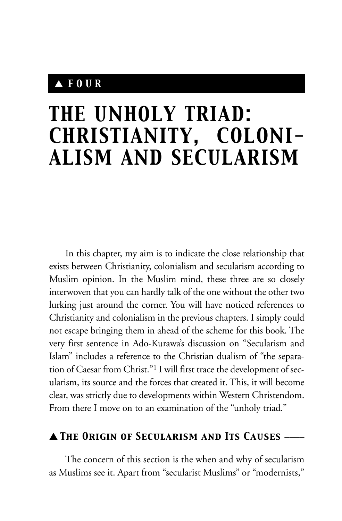# ▲ *FOUR*

# *THE UNHOLY TRIAD: CHRISTIANITY, COLONI-ALISM AND SECULARISM*

In this chapter, my aim is to indicate the close relationship that exists between Christianity, colonialism and secularism according to Muslim opinion. In the Muslim mind, these three are so closely interwoven that you can hardly talk of the one without the other two lurking just around the corner. You will have noticed references to Christianity and colonialism in the previous chapters. I simply could not escape bringing them in ahead of the scheme for this book. The very first sentence in Ado-Kurawa's discussion on "Secularism and Islam" includes a reference to the Christian dualism of "the separation of Caesar from Christ."1 I will first trace the development of secularism, its source and the forces that created it. This, it will become clear, was strictly due to developments within Western Christendom. From there I move on to an examination of the "unholy triad."

# ▲ *The Origin of Secularism and Its Causes* \_\_\_\_

The concern of this section is the when and why of secularism as Muslims see it. Apart from "secularist Muslims" or "modernists,"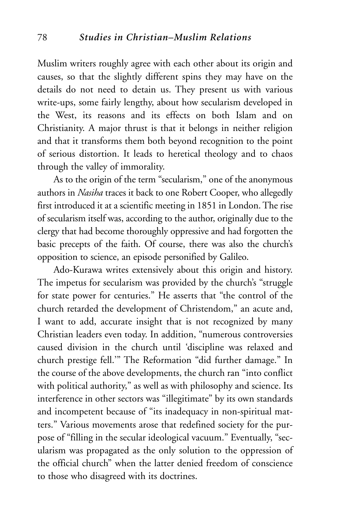Muslim writers roughly agree with each other about its origin and causes, so that the slightly different spins they may have on the details do not need to detain us. They present us with various write-ups, some fairly lengthy, about how secularism developed in the West, its reasons and its effects on both Islam and on Christianity. A major thrust is that it belongs in neither religion and that it transforms them both beyond recognition to the point of serious distortion. It leads to heretical theology and to chaos through the valley of immorality.

As to the origin of the term "secularism," one of the anonymous authors in *Nasiha* traces it back to one Robert Cooper, who allegedly first introduced it at a scientific meeting in 1851 in London. The rise of secularism itself was, according to the author, originally due to the clergy that had become thoroughly oppressive and had forgotten the basic precepts of the faith. Of course, there was also the church's opposition to science, an episode personified by Galileo.

Ado-Kurawa writes extensively about this origin and history. The impetus for secularism was provided by the church's "struggle for state power for centuries." He asserts that "the control of the church retarded the development of Christendom," an acute and, I want to add, accurate insight that is not recognized by many Christian leaders even today. In addition, "numerous controversies caused division in the church until 'discipline was relaxed and church prestige fell.'" The Reformation "did further damage." In the course of the above developments, the church ran "into conflict with political authority," as well as with philosophy and science. Its interference in other sectors was "illegitimate" by its own standards and incompetent because of "its inadequacy in non-spiritual matters." Various movements arose that redefined society for the purpose of "filling in the secular ideological vacuum." Eventually, "secularism was propagated as the only solution to the oppression of the official church" when the latter denied freedom of conscience to those who disagreed with its doctrines.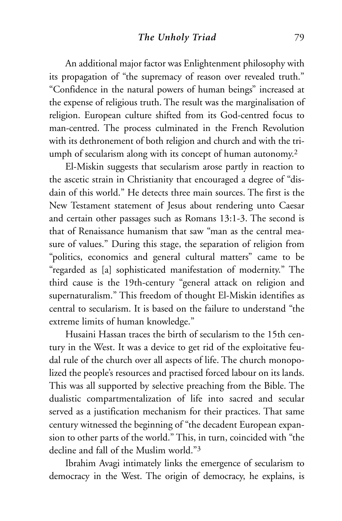An additional major factor was Enlightenment philosophy with its propagation of "the supremacy of reason over revealed truth." "Confidence in the natural powers of human beings" increased at the expense of religious truth. The result was the marginalisation of religion. European culture shifted from its God-centred focus to man-centred. The process culminated in the French Revolution with its dethronement of both religion and church and with the triumph of secularism along with its concept of human autonomy.<sup>2</sup>

El-Miskin suggests that secularism arose partly in reaction to the ascetic strain in Christianity that encouraged a degree of "disdain of this world." He detects three main sources. The first is the New Testament statement of Jesus about rendering unto Caesar and certain other passages such as Romans 13:1-3. The second is that of Renaissance humanism that saw "man as the central measure of values." During this stage, the separation of religion from "politics, economics and general cultural matters" came to be "regarded as [a] sophisticated manifestation of modernity." The third cause is the 19th-century "general attack on religion and supernaturalism." This freedom of thought El-Miskin identifies as central to secularism. It is based on the failure to understand "the extreme limits of human knowledge."

Husaini Hassan traces the birth of secularism to the 15th century in the West. It was a device to get rid of the exploitative feudal rule of the church over all aspects of life. The church monopolized the people's resources and practised forced labour on its lands. This was all supported by selective preaching from the Bible. The dualistic compartmentalization of life into sacred and secular served as a justification mechanism for their practices. That same century witnessed the beginning of "the decadent European expansion to other parts of the world." This, in turn, coincided with "the decline and fall of the Muslim world."3

Ibrahim Avagi intimately links the emergence of secularism to democracy in the West. The origin of democracy, he explains, is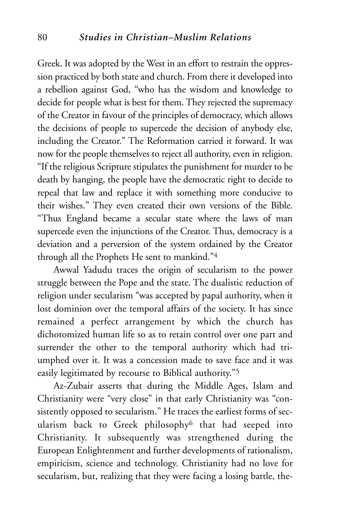Greek. It was adopted by the West in an effort to restrain the oppression practiced by both state and church. From there it developed into a rebellion against God, "who has the wisdom and knowledge to decide for people what is best for them. They rejected the supremacy of the Creator in favour of the principles of democracy, which allows the decisions of people to supercede the decision of anybody else, including the Creator." The Reformation carried it forward. It was now for the people themselves to reject all authority, even in religion. "If the religious Scripture stipulates the punishment for murder to be death by hanging, the people have the democratic right to decide to repeal that law and replace it with something more conducive to their wishes." They even created their own versions of the Bible. "Thus England became a secular state where the laws of man supercede even the injunctions of the Creator. Thus, democracy is a deviation and a perversion of the system ordained by the Creator through all the Prophets He sent to mankind."4

Awwal Yadudu traces the origin of secularism to the power struggle between the Pope and the state. The dualistic reduction of religion under secularism "was accepted by papal authority, when it lost dominion over the temporal affairs of the society. It has since remained a perfect arrangement by which the church has dichotomized human life so as to retain control over one part and surrender the other to the temporal authority which had triumphed over it. It was a concession made to save face and it was easily legitimated by recourse to Biblical authority."5

Az-Zubair asserts that during the Middle Ages, Islam and Christianity were "very close" in that early Christianity was "consistently opposed to secularism." He traces the earliest forms of secularism back to Greek philosophy6 that had seeped into Christianity. It subsequently was strengthened during the European Enlightenment and further developments of rationalism, empiricism, science and technology. Christianity had no love for secularism, but, realizing that they were facing a losing battle, the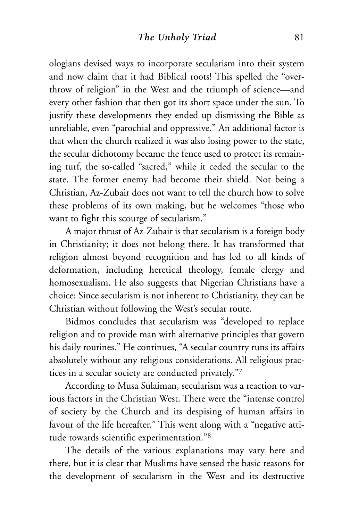ologians devised ways to incorporate secularism into their system and now claim that it had Biblical roots! This spelled the "overthrow of religion" in the West and the triumph of science—and every other fashion that then got its short space under the sun. To justify these developments they ended up dismissing the Bible as unreliable, even "parochial and oppressive." An additional factor is that when the church realized it was also losing power to the state, the secular dichotomy became the fence used to protect its remaining turf, the so-called "sacred," while it ceded the secular to the state. The former enemy had become their shield. Not being a Christian, Az-Zubair does not want to tell the church how to solve these problems of its own making, but he welcomes "those who want to fight this scourge of secularism."

A major thrust of Az-Zubair is that secularism is a foreign body in Christianity; it does not belong there. It has transformed that religion almost beyond recognition and has led to all kinds of deformation, including heretical theology, female clergy and homosexualism. He also suggests that Nigerian Christians have a choice: Since secularism is not inherent to Christianity, they can be Christian without following the West's secular route.

Bidmos concludes that secularism was "developed to replace religion and to provide man with alternative principles that govern his daily routines." He continues, "A secular country runs its affairs absolutely without any religious considerations. All religious practices in a secular society are conducted privately."7

According to Musa Sulaiman, secularism was a reaction to various factors in the Christian West. There were the "intense control of society by the Church and its despising of human affairs in favour of the life hereafter." This went along with a "negative attitude towards scientific experimentation."8

The details of the various explanations may vary here and there, but it is clear that Muslims have sensed the basic reasons for the development of secularism in the West and its destructive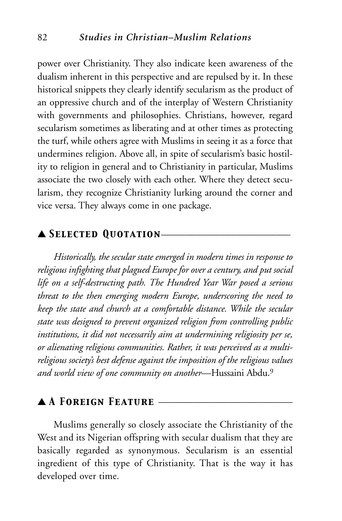power over Christianity. They also indicate keen awareness of the dualism inherent in this perspective and are repulsed by it. In these historical snippets they clearly identify secularism as the product of an oppressive church and of the interplay of Western Christianity with governments and philosophies. Christians, however, regard secularism sometimes as liberating and at other times as protecting the turf, while others agree with Muslims in seeing it as a force that undermines religion. Above all, in spite of secularism's basic hostility to religion in general and to Christianity in particular, Muslims associate the two closely with each other. Where they detect secularism, they recognize Christianity lurking around the corner and vice versa. They always come in one package.

# ▲ *Selected Quotation*\_\_\_\_\_\_\_\_\_\_\_\_\_\_\_\_\_\_\_\_\_\_\_\_\_\_

*Historically, the secular state emerged in modern times in response to religious infighting that plagued Europe for over a century, and put social life on a self-destructing path. The Hundred Year War posed a serious threat to the then emerging modern Europe, underscoring the need to keep the state and church at a comfortable distance. While the secular state was designed to prevent organized religion from controlling public institutions, it did not necessarily aim at undermining religiosity per se, or alienating religious communities. Rather, it was perceived as a multireligious society's best defense against the imposition of the religious values and world view of one community on another*—Hussaini Abdu.9

#### ▲ *A Foreign Feature* \_\_\_\_\_\_\_\_\_\_\_\_\_\_\_\_\_\_\_\_\_\_\_\_\_\_\_

Muslims generally so closely associate the Christianity of the West and its Nigerian offspring with secular dualism that they are basically regarded as synonymous. Secularism is an essential ingredient of this type of Christianity. That is the way it has developed over time.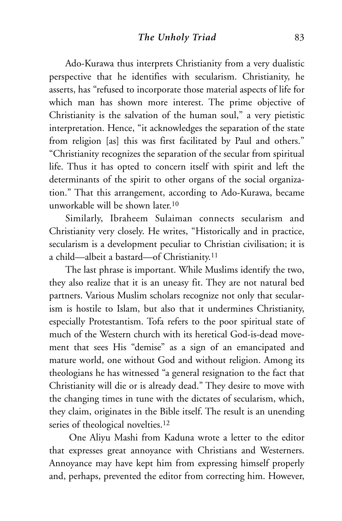Ado-Kurawa thus interprets Christianity from a very dualistic perspective that he identifies with secularism. Christianity, he asserts, has "refused to incorporate those material aspects of life for which man has shown more interest. The prime objective of Christianity is the salvation of the human soul," a very pietistic interpretation. Hence, "it acknowledges the separation of the state from religion [as] this was first facilitated by Paul and others." "Christianity recognizes the separation of the secular from spiritual life. Thus it has opted to concern itself with spirit and left the determinants of the spirit to other organs of the social organization." That this arrangement, according to Ado-Kurawa, became unworkable will be shown later.10

Similarly, Ibraheem Sulaiman connects secularism and Christianity very closely. He writes, "Historically and in practice, secularism is a development peculiar to Christian civilisation; it is a child—albeit a bastard—of Christianity.11

The last phrase is important. While Muslims identify the two, they also realize that it is an uneasy fit. They are not natural bed partners. Various Muslim scholars recognize not only that secularism is hostile to Islam, but also that it undermines Christianity, especially Protestantism. Tofa refers to the poor spiritual state of much of the Western church with its heretical God-is-dead movement that sees His "demise" as a sign of an emancipated and mature world, one without God and without religion. Among its theologians he has witnessed "a general resignation to the fact that Christianity will die or is already dead." They desire to move with the changing times in tune with the dictates of secularism, which, they claim, originates in the Bible itself. The result is an unending series of theological novelties.<sup>12</sup>

One Aliyu Mashi from Kaduna wrote a letter to the editor that expresses great annoyance with Christians and Westerners. Annoyance may have kept him from expressing himself properly and, perhaps, prevented the editor from correcting him. However,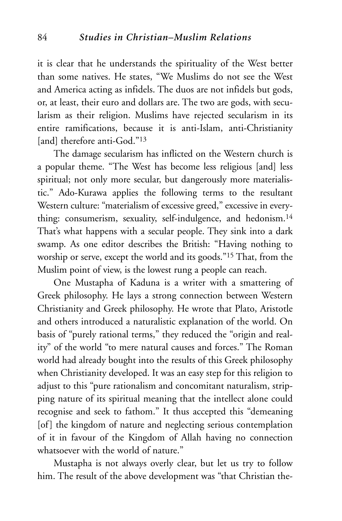it is clear that he understands the spirituality of the West better than some natives. He states, "We Muslims do not see the West and America acting as infidels. The duos are not infidels but gods, or, at least, their euro and dollars are. The two are gods, with secularism as their religion. Muslims have rejected secularism in its entire ramifications, because it is anti-Islam, anti-Christianity [and] therefore anti-God."<sup>13</sup>

The damage secularism has inflicted on the Western church is a popular theme. "The West has become less religious [and] less spiritual; not only more secular, but dangerously more materialistic." Ado-Kurawa applies the following terms to the resultant Western culture: "materialism of excessive greed," excessive in everything: consumerism, sexuality, self-indulgence, and hedonism.<sup>14</sup> That's what happens with a secular people. They sink into a dark swamp. As one editor describes the British: "Having nothing to worship or serve, except the world and its goods."15 That, from the Muslim point of view, is the lowest rung a people can reach.

One Mustapha of Kaduna is a writer with a smattering of Greek philosophy. He lays a strong connection between Western Christianity and Greek philosophy. He wrote that Plato, Aristotle and others introduced a naturalistic explanation of the world. On basis of "purely rational terms," they reduced the "origin and reality" of the world "to mere natural causes and forces." The Roman world had already bought into the results of this Greek philosophy when Christianity developed. It was an easy step for this religion to adjust to this "pure rationalism and concomitant naturalism, stripping nature of its spiritual meaning that the intellect alone could recognise and seek to fathom." It thus accepted this "demeaning [of] the kingdom of nature and neglecting serious contemplation of it in favour of the Kingdom of Allah having no connection whatsoever with the world of nature."

Mustapha is not always overly clear, but let us try to follow him. The result of the above development was "that Christian the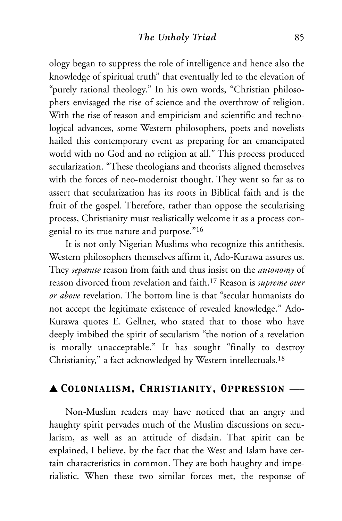ology began to suppress the role of intelligence and hence also the knowledge of spiritual truth" that eventually led to the elevation of "purely rational theology." In his own words, "Christian philosophers envisaged the rise of science and the overthrow of religion. With the rise of reason and empiricism and scientific and technological advances, some Western philosophers, poets and novelists hailed this contemporary event as preparing for an emancipated world with no God and no religion at all." This process produced secularization. "These theologians and theorists aligned themselves with the forces of neo-modernist thought. They went so far as to assert that secularization has its roots in Biblical faith and is the fruit of the gospel. Therefore, rather than oppose the secularising process, Christianity must realistically welcome it as a process congenial to its true nature and purpose."16

It is not only Nigerian Muslims who recognize this antithesis. Western philosophers themselves affirm it, Ado-Kurawa assures us. They *separate* reason from faith and thus insist on the *autonomy* of reason divorced from revelation and faith.17 Reason is *supreme over or above* revelation. The bottom line is that "secular humanists do not accept the legitimate existence of revealed knowledge." Ado-Kurawa quotes E. Gellner, who stated that to those who have deeply imbibed the spirit of secularism "the notion of a revelation is morally unacceptable." It has sought "finally to destroy Christianity," a fact acknowledged by Western intellectuals.18

# ▲ *Colonialism, Christianity, Oppression* \_\_\_

Non-Muslim readers may have noticed that an angry and haughty spirit pervades much of the Muslim discussions on secularism, as well as an attitude of disdain. That spirit can be explained, I believe, by the fact that the West and Islam have certain characteristics in common. They are both haughty and imperialistic. When these two similar forces met, the response of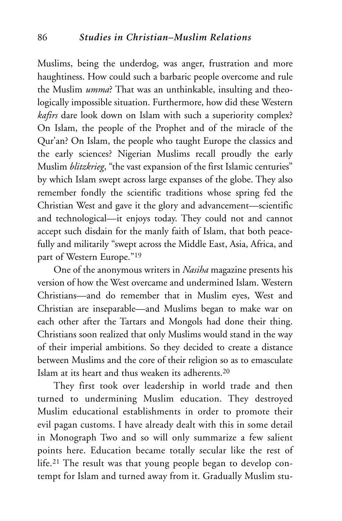Muslims, being the underdog, was anger, frustration and more haughtiness. How could such a barbaric people overcome and rule the Muslim *umma*? That was an unthinkable, insulting and theologically impossible situation. Furthermore, how did these Western *kafirs* dare look down on Islam with such a superiority complex? On Islam, the people of the Prophet and of the miracle of the Qur'an? On Islam, the people who taught Europe the classics and the early sciences? Nigerian Muslims recall proudly the early Muslim *blitzkrieg*, "the vast expansion of the first Islamic centuries" by which Islam swept across large expanses of the globe. They also remember fondly the scientific traditions whose spring fed the Christian West and gave it the glory and advancement—scientific and technological—it enjoys today. They could not and cannot accept such disdain for the manly faith of Islam, that both peacefully and militarily "swept across the Middle East, Asia, Africa, and part of Western Europe."19

One of the anonymous writers in *Nasiha* magazine presents his version of how the West overcame and undermined Islam. Western Christians—and do remember that in Muslim eyes, West and Christian are inseparable—and Muslims began to make war on each other after the Tartars and Mongols had done their thing. Christians soon realized that only Muslims would stand in the way of their imperial ambitions. So they decided to create a distance between Muslims and the core of their religion so as to emasculate Islam at its heart and thus weaken its adherents.20

They first took over leadership in world trade and then turned to undermining Muslim education. They destroyed Muslim educational establishments in order to promote their evil pagan customs. I have already dealt with this in some detail in Monograph Two and so will only summarize a few salient points here. Education became totally secular like the rest of life.21 The result was that young people began to develop contempt for Islam and turned away from it. Gradually Muslim stu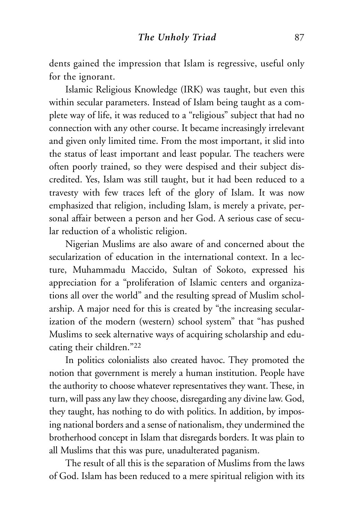dents gained the impression that Islam is regressive, useful only for the ignorant.

Islamic Religious Knowledge (IRK) was taught, but even this within secular parameters. Instead of Islam being taught as a complete way of life, it was reduced to a "religious" subject that had no connection with any other course. It became increasingly irrelevant and given only limited time. From the most important, it slid into the status of least important and least popular. The teachers were often poorly trained, so they were despised and their subject discredited. Yes, Islam was still taught, but it had been reduced to a travesty with few traces left of the glory of Islam. It was now emphasized that religion, including Islam, is merely a private, personal affair between a person and her God. A serious case of secular reduction of a wholistic religion.

Nigerian Muslims are also aware of and concerned about the secularization of education in the international context. In a lecture, Muhammadu Maccido, Sultan of Sokoto, expressed his appreciation for a "proliferation of Islamic centers and organizations all over the world" and the resulting spread of Muslim scholarship. A major need for this is created by "the increasing secularization of the modern (western) school system" that "has pushed Muslims to seek alternative ways of acquiring scholarship and educating their children."22

In politics colonialists also created havoc. They promoted the notion that government is merely a human institution. People have the authority to choose whatever representatives they want. These, in turn, will pass any law they choose, disregarding any divine law. God, they taught, has nothing to do with politics. In addition, by imposing national borders and a sense of nationalism, they undermined the brotherhood concept in Islam that disregards borders. It was plain to all Muslims that this was pure, unadulterated paganism.

The result of all this is the separation of Muslims from the laws of God. Islam has been reduced to a mere spiritual religion with its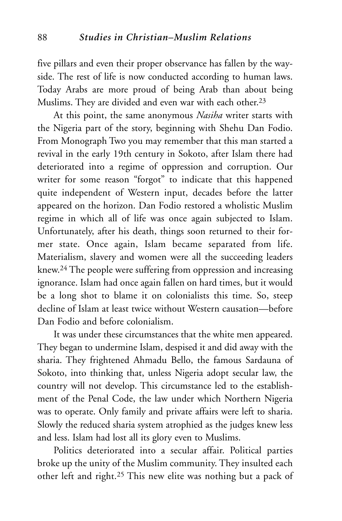five pillars and even their proper observance has fallen by the wayside. The rest of life is now conducted according to human laws. Today Arabs are more proud of being Arab than about being Muslims. They are divided and even war with each other.<sup>23</sup>

At this point, the same anonymous *Nasiha* writer starts with the Nigeria part of the story, beginning with Shehu Dan Fodio. From Monograph Two you may remember that this man started a revival in the early 19th century in Sokoto, after Islam there had deteriorated into a regime of oppression and corruption. Our writer for some reason "forgot" to indicate that this happened quite independent of Western input, decades before the latter appeared on the horizon. Dan Fodio restored a wholistic Muslim regime in which all of life was once again subjected to Islam. Unfortunately, after his death, things soon returned to their former state. Once again, Islam became separated from life. Materialism, slavery and women were all the succeeding leaders knew.24 The people were suffering from oppression and increasing ignorance. Islam had once again fallen on hard times, but it would be a long shot to blame it on colonialists this time. So, steep decline of Islam at least twice without Western causation—before Dan Fodio and before colonialism.

It was under these circumstances that the white men appeared. They began to undermine Islam, despised it and did away with the sharia. They frightened Ahmadu Bello, the famous Sardauna of Sokoto, into thinking that, unless Nigeria adopt secular law, the country will not develop. This circumstance led to the establishment of the Penal Code, the law under which Northern Nigeria was to operate. Only family and private affairs were left to sharia. Slowly the reduced sharia system atrophied as the judges knew less and less. Islam had lost all its glory even to Muslims.

Politics deteriorated into a secular affair. Political parties broke up the unity of the Muslim community. They insulted each other left and right.25 This new elite was nothing but a pack of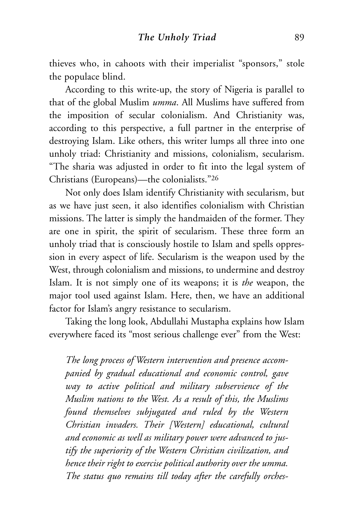thieves who, in cahoots with their imperialist "sponsors," stole the populace blind.

According to this write-up, the story of Nigeria is parallel to that of the global Muslim *umma*. All Muslims have suffered from the imposition of secular colonialism. And Christianity was, according to this perspective, a full partner in the enterprise of destroying Islam. Like others, this writer lumps all three into one unholy triad: Christianity and missions, colonialism, secularism. "The sharia was adjusted in order to fit into the legal system of Christians (Europeans)—the colonialists."26

Not only does Islam identify Christianity with secularism, but as we have just seen, it also identifies colonialism with Christian missions. The latter is simply the handmaiden of the former. They are one in spirit, the spirit of secularism. These three form an unholy triad that is consciously hostile to Islam and spells oppression in every aspect of life. Secularism is the weapon used by the West, through colonialism and missions, to undermine and destroy Islam. It is not simply one of its weapons; it is *the* weapon, the major tool used against Islam. Here, then, we have an additional factor for Islam's angry resistance to secularism.

Taking the long look, Abdullahi Mustapha explains how Islam everywhere faced its "most serious challenge ever" from the West:

*The long process of Western intervention and presence accompanied by gradual educational and economic control, gave way to active political and military subservience of the Muslim nations to the West. As a result of this, the Muslims found themselves subjugated and ruled by the Western Christian invaders. Their [Western] educational, cultural and economic as well as military power were advanced to justify the superiority of the Western Christian civilization, and hence their right to exercise political authority over the umma. The status quo remains till today after the carefully orches-*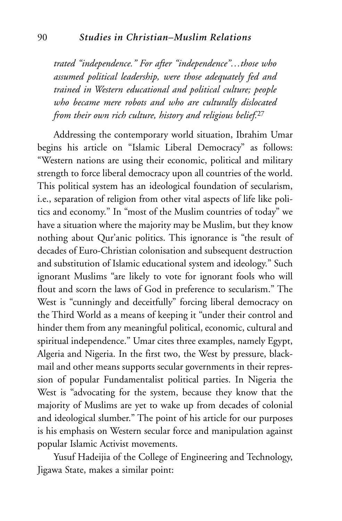*trated "independence." For after "independence"…those who assumed political leadership, were those adequately fed and trained in Western educational and political culture; people who became mere robots and who are culturally dislocated from their own rich culture, history and religious belief.*<sup>27</sup>

Addressing the contemporary world situation, Ibrahim Umar begins his article on "Islamic Liberal Democracy" as follows: "Western nations are using their economic, political and military strength to force liberal democracy upon all countries of the world. This political system has an ideological foundation of secularism, i.e., separation of religion from other vital aspects of life like politics and economy." In "most of the Muslim countries of today" we have a situation where the majority may be Muslim, but they know nothing about Qur'anic politics. This ignorance is "the result of decades of Euro-Christian colonisation and subsequent destruction and substitution of Islamic educational system and ideology." Such ignorant Muslims "are likely to vote for ignorant fools who will flout and scorn the laws of God in preference to secularism." The West is "cunningly and deceitfully" forcing liberal democracy on the Third World as a means of keeping it "under their control and hinder them from any meaningful political, economic, cultural and spiritual independence." Umar cites three examples, namely Egypt, Algeria and Nigeria. In the first two, the West by pressure, blackmail and other means supports secular governments in their repression of popular Fundamentalist political parties. In Nigeria the West is "advocating for the system, because they know that the majority of Muslims are yet to wake up from decades of colonial and ideological slumber." The point of his article for our purposes is his emphasis on Western secular force and manipulation against popular Islamic Activist movements.

Yusuf Hadeijia of the College of Engineering and Technology, Jigawa State, makes a similar point: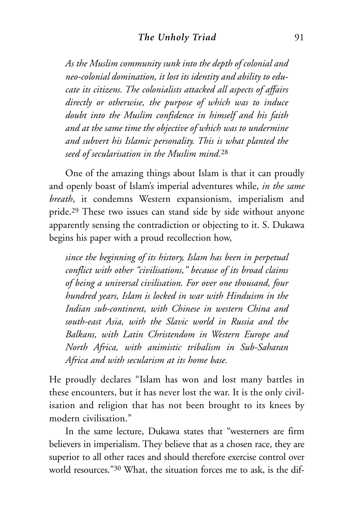*As the Muslim community sunk into the depth of colonial and neo-colonial domination, it lost its identity and ability to educate its citizens. The colonialists attacked all aspects of affairs directly or otherwise, the purpose of which was to induce doubt into the Muslim confidence in himself and his faith and at the same time the objective of which was to undermine and subvert his Islamic personality. This is what planted the seed of secularisation in the Muslim mind.*<sup>28</sup>

One of the amazing things about Islam is that it can proudly and openly boast of Islam's imperial adventures while, *in the same breath*, it condemns Western expansionism, imperialism and pride.29 These two issues can stand side by side without anyone apparently sensing the contradiction or objecting to it. S. Dukawa begins his paper with a proud recollection how,

*since the beginning of its history, Islam has been in perpetual conflict with other "civilisations," because of its broad claims of being a universal civilisation. For over one thousand, four hundred years, Islam is locked in war with Hinduism in the Indian sub-continent, with Chinese in western China and south-east Asia, with the Slavic world in Russia and the Balkans, with Latin Christendom in Western Europe and North Africa, with animistic tribalism in Sub-Saharan Africa and with secularism at its home base.*

He proudly declares "Islam has won and lost many battles in these encounters, but it has never lost the war. It is the only civilisation and religion that has not been brought to its knees by modern civilisation."

In the same lecture, Dukawa states that "westerners are firm believers in imperialism. They believe that as a chosen race, they are superior to all other races and should therefore exercise control over world resources."30 What, the situation forces me to ask, is the dif-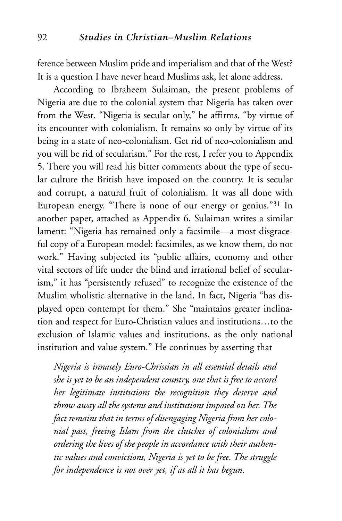ference between Muslim pride and imperialism and that of the West? It is a question I have never heard Muslims ask, let alone address.

According to Ibraheem Sulaiman, the present problems of Nigeria are due to the colonial system that Nigeria has taken over from the West. "Nigeria is secular only," he affirms, "by virtue of its encounter with colonialism. It remains so only by virtue of its being in a state of neo-colonialism. Get rid of neo-colonialism and you will be rid of secularism." For the rest, I refer you to Appendix 5. There you will read his bitter comments about the type of secular culture the British have imposed on the country. It is secular and corrupt, a natural fruit of colonialism. It was all done with European energy. "There is none of our energy or genius."31 In another paper, attached as Appendix 6, Sulaiman writes a similar lament: "Nigeria has remained only a facsimile—a most disgraceful copy of a European model: facsimiles, as we know them, do not work." Having subjected its "public affairs, economy and other vital sectors of life under the blind and irrational belief of secularism," it has "persistently refused" to recognize the existence of the Muslim wholistic alternative in the land. In fact, Nigeria "has displayed open contempt for them." She "maintains greater inclination and respect for Euro-Christian values and institutions…to the exclusion of Islamic values and institutions, as the only national institution and value system." He continues by asserting that

*Nigeria is innately Euro-Christian in all essential details and she is yet to be an independent country, one that is free to accord her legitimate institutions the recognition they deserve and throw away all the systems and institutions imposed on her. The fact remains that in terms of disengaging Nigeria from her colonial past, freeing Islam from the clutches of colonialism and ordering the lives of the people in accordance with their authentic values and convictions, Nigeria is yet to be free. The struggle for independence is not over yet, if at all it has begun.*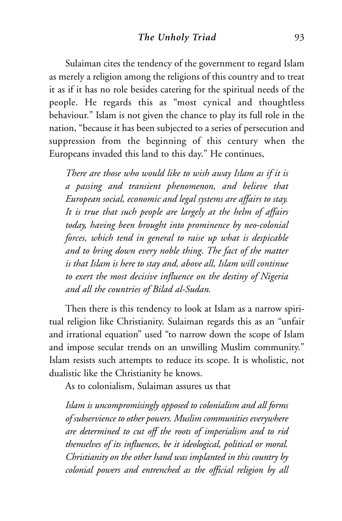Sulaiman cites the tendency of the government to regard Islam as merely a religion among the religions of this country and to treat it as if it has no role besides catering for the spiritual needs of the people. He regards this as "most cynical and thoughtless behaviour." Islam is not given the chance to play its full role in the nation, "because it has been subjected to a series of persecution and suppression from the beginning of this century when the Europeans invaded this land to this day." He continues,

*There are those who would like to wish away Islam as if it is a passing and transient phenomenon, and believe that European social, economic and legal systems are affairs to stay. It is true that such people are largely at the helm of affairs today, having been brought into prominence by neo-colonial forces, which tend in general to raise up what is despicable and to bring down every noble thing. The fact of the matter is that Islam is here to stay and, above all, Islam will continue to exert the most decisive influence on the destiny of Nigeria and all the countries of Bilad al-Sudan.*

Then there is this tendency to look at Islam as a narrow spiritual religion like Christianity. Sulaiman regards this as an "unfair and irrational equation" used "to narrow down the scope of Islam and impose secular trends on an unwilling Muslim community." Islam resists such attempts to reduce its scope. It is wholistic, not dualistic like the Christianity he knows.

As to colonialism, Sulaiman assures us that

*Islam is uncompromisingly opposed to colonialism and all forms of subservience to other powers. Muslim communities everywhere are determined to cut off the roots of imperialism and to rid themselves of its influences, be it ideological, political or moral. Christianity on the other hand was implanted in this country by colonial powers and entrenched as the official religion by all*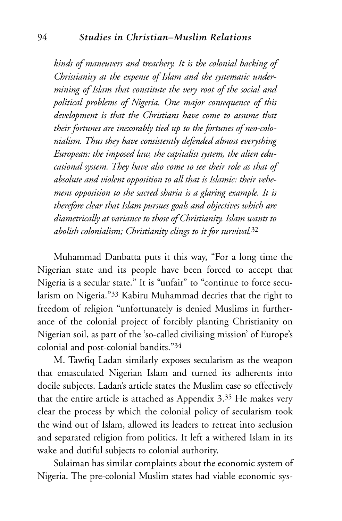*kinds of maneuvers and treachery. It is the colonial backing of Christianity at the expense of Islam and the systematic undermining of Islam that constitute the very root of the social and political problems of Nigeria. One major consequence of this development is that the Christians have come to assume that their fortunes are inexorably tied up to the fortunes of neo-colonialism. Thus they have consistently defended almost everything European: the imposed law, the capitalist system, the alien educational system. They have also come to see their role as that of absolute and violent opposition to all that is Islamic: their vehement opposition to the sacred sharia is a glaring example. It is therefore clear that Islam pursues goals and objectives which are diametrically at variance to those of Christianity. Islam wants to abolish colonialism; Christianity clings to it for survival.*<sup>32</sup>

Muhammad Danbatta puts it this way, "For a long time the Nigerian state and its people have been forced to accept that Nigeria is a secular state." It is "unfair" to "continue to force secularism on Nigeria."33 Kabiru Muhammad decries that the right to freedom of religion "unfortunately is denied Muslims in furtherance of the colonial project of forcibly planting Christianity on Nigerian soil, as part of the 'so-called civilising mission' of Europe's colonial and post-colonial bandits."34

M. Tawfiq Ladan similarly exposes secularism as the weapon that emasculated Nigerian Islam and turned its adherents into docile subjects. Ladan's article states the Muslim case so effectively that the entire article is attached as Appendix 3.35 He makes very clear the process by which the colonial policy of secularism took the wind out of Islam, allowed its leaders to retreat into seclusion and separated religion from politics. It left a withered Islam in its wake and dutiful subjects to colonial authority.

Sulaiman has similar complaints about the economic system of Nigeria. The pre-colonial Muslim states had viable economic sys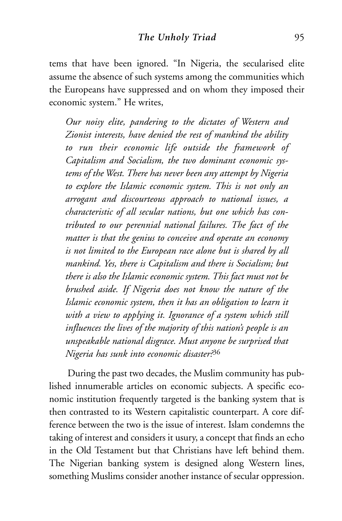tems that have been ignored. "In Nigeria, the secularised elite assume the absence of such systems among the communities which the Europeans have suppressed and on whom they imposed their economic system." He writes,

*Our noisy elite, pandering to the dictates of Western and Zionist interests, have denied the rest of mankind the ability to run their economic life outside the framework of Capitalism and Socialism, the two dominant economic systems of the West. There has never been any attempt by Nigeria to explore the Islamic economic system. This is not only an arrogant and discourteous approach to national issues, a characteristic of all secular nations, but one which has contributed to our perennial national failures. The fact of the matter is that the genius to conceive and operate an economy is not limited to the European race alone but is shared by all mankind. Yes, there is Capitalism and there is Socialism; but there is also the Islamic economic system. This fact must not be brushed aside. If Nigeria does not know the nature of the Islamic economic system, then it has an obligation to learn it with a view to applying it. Ignorance of a system which still influences the lives of the majority of this nation's people is an unspeakable national disgrace. Must anyone be surprised that Nigeria has sunk into economic disaster?*<sup>36</sup>

During the past two decades, the Muslim community has published innumerable articles on economic subjects. A specific economic institution frequently targeted is the banking system that is then contrasted to its Western capitalistic counterpart. A core difference between the two is the issue of interest. Islam condemns the taking of interest and considers it usury, a concept that finds an echo in the Old Testament but that Christians have left behind them. The Nigerian banking system is designed along Western lines, something Muslims consider another instance of secular oppression.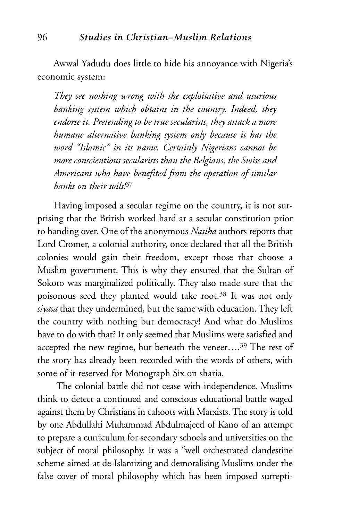Awwal Yadudu does little to hide his annoyance with Nigeria's economic system:

*They see nothing wrong with the exploitative and usurious banking system which obtains in the country. Indeed, they endorse it. Pretending to be true secularists, they attack a more humane alternative banking system only because it has the word "Islamic" in its name. Certainly Nigerians cannot be more conscientious secularists than the Belgians, the Swiss and Americans who have benefited from the operation of similar banks on their soils!*<sup>37</sup>

Having imposed a secular regime on the country, it is not surprising that the British worked hard at a secular constitution prior to handing over. One of the anonymous *Nasiha* authors reports that Lord Cromer, a colonial authority, once declared that all the British colonies would gain their freedom, except those that choose a Muslim government. This is why they ensured that the Sultan of Sokoto was marginalized politically. They also made sure that the poisonous seed they planted would take root.38 It was not only *siyasa* that they undermined, but the same with education. They left the country with nothing but democracy! And what do Muslims have to do with that? It only seemed that Muslims were satisfied and accepted the new regime, but beneath the veneer....<sup>39</sup> The rest of the story has already been recorded with the words of others, with some of it reserved for Monograph Six on sharia.

The colonial battle did not cease with independence. Muslims think to detect a continued and conscious educational battle waged against them by Christians in cahoots with Marxists. The story is told by one Abdullahi Muhammad Abdulmajeed of Kano of an attempt to prepare a curriculum for secondary schools and universities on the subject of moral philosophy. It was a "well orchestrated clandestine scheme aimed at de-Islamizing and demoralising Muslims under the false cover of moral philosophy which has been imposed surrepti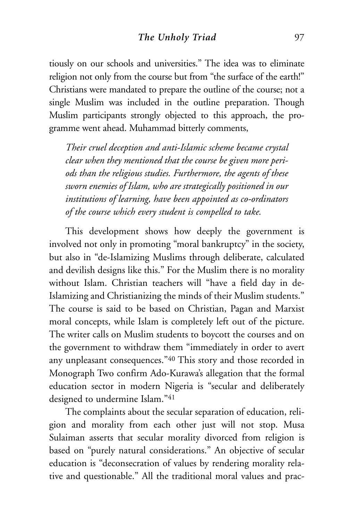tiously on our schools and universities." The idea was to eliminate religion not only from the course but from "the surface of the earth!" Christians were mandated to prepare the outline of the course; not a single Muslim was included in the outline preparation. Though Muslim participants strongly objected to this approach, the programme went ahead. Muhammad bitterly comments,

*Their cruel deception and anti-Islamic scheme became crystal clear when they mentioned that the course be given more periods than the religious studies. Furthermore, the agents of these sworn enemies of Islam, who are strategically positioned in our institutions of learning, have been appointed as co-ordinators of the course which every student is compelled to take.* 

This development shows how deeply the government is involved not only in promoting "moral bankruptcy" in the society, but also in "de-Islamizing Muslims through deliberate, calculated and devilish designs like this." For the Muslim there is no morality without Islam. Christian teachers will "have a field day in de-Islamizing and Christianizing the minds of their Muslim students." The course is said to be based on Christian, Pagan and Marxist moral concepts, while Islam is completely left out of the picture. The writer calls on Muslim students to boycott the courses and on the government to withdraw them "immediately in order to avert any unpleasant consequences."40 This story and those recorded in Monograph Two confirm Ado-Kurawa's allegation that the formal education sector in modern Nigeria is "secular and deliberately designed to undermine Islam."41

The complaints about the secular separation of education, religion and morality from each other just will not stop. Musa Sulaiman asserts that secular morality divorced from religion is based on "purely natural considerations." An objective of secular education is "deconsecration of values by rendering morality relative and questionable." All the traditional moral values and prac-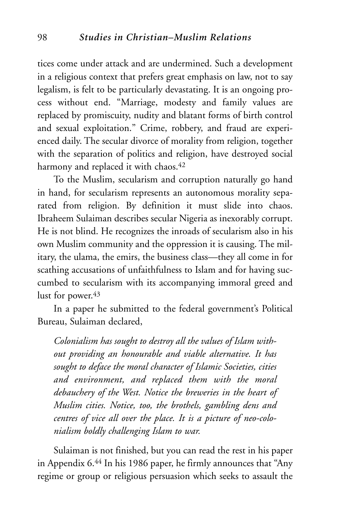tices come under attack and are undermined. Such a development in a religious context that prefers great emphasis on law, not to say legalism, is felt to be particularly devastating. It is an ongoing process without end. "Marriage, modesty and family values are replaced by promiscuity, nudity and blatant forms of birth control and sexual exploitation." Crime, robbery, and fraud are experienced daily. The secular divorce of morality from religion, together with the separation of politics and religion, have destroyed social harmony and replaced it with chaos.<sup>42</sup>

To the Muslim, secularism and corruption naturally go hand in hand, for secularism represents an autonomous morality separated from religion. By definition it must slide into chaos. Ibraheem Sulaiman describes secular Nigeria as inexorably corrupt. He is not blind. He recognizes the inroads of secularism also in his own Muslim community and the oppression it is causing. The military, the ulama, the emirs, the business class—they all come in for scathing accusations of unfaithfulness to Islam and for having succumbed to secularism with its accompanying immoral greed and lust for power.<sup>43</sup>

In a paper he submitted to the federal government's Political Bureau, Sulaiman declared,

*Colonialism has sought to destroy all the values of Islam without providing an honourable and viable alternative. It has sought to deface the moral character of Islamic Societies, cities and environment, and replaced them with the moral debauchery of the West. Notice the breweries in the heart of Muslim cities. Notice, too, the brothels, gambling dens and centres of vice all over the place. It is a picture of neo-colonialism boldly challenging Islam to war.*

Sulaiman is not finished, but you can read the rest in his paper in Appendix 6.44 In his 1986 paper, he firmly announces that "Any regime or group or religious persuasion which seeks to assault the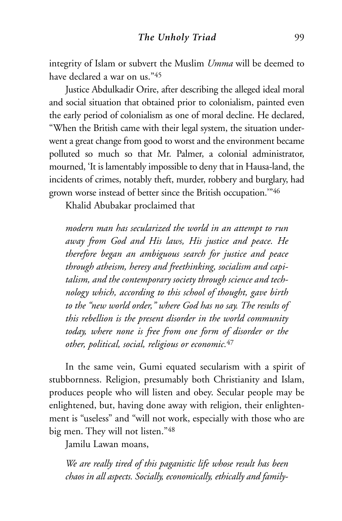integrity of Islam or subvert the Muslim *Umma* will be deemed to have declared a war on us."45

Justice Abdulkadir Orire, after describing the alleged ideal moral and social situation that obtained prior to colonialism, painted even the early period of colonialism as one of moral decline. He declared, "When the British came with their legal system, the situation underwent a great change from good to worst and the environment became polluted so much so that Mr. Palmer, a colonial administrator, mourned, 'It is lamentably impossible to deny that in Hausa-land, the incidents of crimes, notably theft, murder, robbery and burglary, had grown worse instead of better since the British occupation.'"46

Khalid Abubakar proclaimed that

*modern man has secularized the world in an attempt to run away from God and His laws, His justice and peace. He therefore began an ambiguous search for justice and peace through atheism, heresy and freethinking, socialism and capitalism, and the contemporary society through science and technology which, according to this school of thought, gave birth to the "new world order," where God has no say. The results of this rebellion is the present disorder in the world community today, where none is free from one form of disorder or the other, political, social, religious or economic.*<sup>47</sup>

In the same vein, Gumi equated secularism with a spirit of stubbornness. Religion, presumably both Christianity and Islam, produces people who will listen and obey. Secular people may be enlightened, but, having done away with religion, their enlightenment is "useless" and "will not work, especially with those who are big men. They will not listen."48

Jamilu Lawan moans,

*We are really tired of this paganistic life whose result has been chaos in all aspects. Socially, economically, ethically and family-*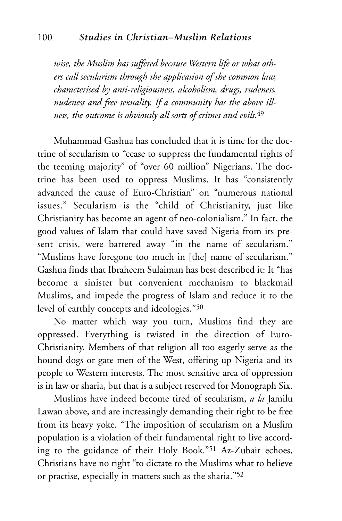*wise, the Muslim has suffered because Western life or what others call secularism through the application of the common law, characterised by anti-religiousness, alcoholism, drugs, rudeness, nudeness and free sexuality. If a community has the above illness, the outcome is obviously all sorts of crimes and evils.*<sup>49</sup>

Muhammad Gashua has concluded that it is time for the doctrine of secularism to "cease to suppress the fundamental rights of the teeming majority" of "over 60 million" Nigerians. The doctrine has been used to oppress Muslims. It has "consistently advanced the cause of Euro-Christian" on "numerous national issues." Secularism is the "child of Christianity, just like Christianity has become an agent of neo-colonialism." In fact, the good values of Islam that could have saved Nigeria from its present crisis, were bartered away "in the name of secularism." "Muslims have foregone too much in [the] name of secularism." Gashua finds that Ibraheem Sulaiman has best described it: It "has become a sinister but convenient mechanism to blackmail Muslims, and impede the progress of Islam and reduce it to the level of earthly concepts and ideologies."50

No matter which way you turn, Muslims find they are oppressed. Everything is twisted in the direction of Euro-Christianity. Members of that religion all too eagerly serve as the hound dogs or gate men of the West, offering up Nigeria and its people to Western interests. The most sensitive area of oppression is in law or sharia, but that is a subject reserved for Monograph Six.

Muslims have indeed become tired of secularism, *a la* Jamilu Lawan above, and are increasingly demanding their right to be free from its heavy yoke. "The imposition of secularism on a Muslim population is a violation of their fundamental right to live according to the guidance of their Holy Book."51 Az-Zubair echoes, Christians have no right "to dictate to the Muslims what to believe or practise, especially in matters such as the sharia."52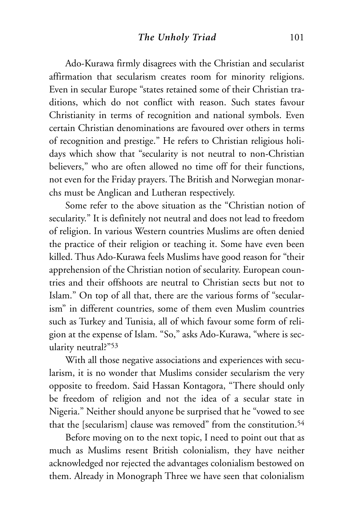Ado-Kurawa firmly disagrees with the Christian and secularist affirmation that secularism creates room for minority religions. Even in secular Europe "states retained some of their Christian traditions, which do not conflict with reason. Such states favour Christianity in terms of recognition and national symbols. Even certain Christian denominations are favoured over others in terms of recognition and prestige." He refers to Christian religious holidays which show that "secularity is not neutral to non-Christian believers," who are often allowed no time off for their functions, not even for the Friday prayers. The British and Norwegian monarchs must be Anglican and Lutheran respectively.

Some refer to the above situation as the "Christian notion of secularity." It is definitely not neutral and does not lead to freedom of religion. In various Western countries Muslims are often denied the practice of their religion or teaching it. Some have even been killed. Thus Ado-Kurawa feels Muslims have good reason for "their apprehension of the Christian notion of secularity. European countries and their offshoots are neutral to Christian sects but not to Islam." On top of all that, there are the various forms of "secularism" in different countries, some of them even Muslim countries such as Turkey and Tunisia, all of which favour some form of religion at the expense of Islam. "So," asks Ado-Kurawa, "where is secularity neutral?"53

With all those negative associations and experiences with secularism, it is no wonder that Muslims consider secularism the very opposite to freedom. Said Hassan Kontagora, "There should only be freedom of religion and not the idea of a secular state in Nigeria." Neither should anyone be surprised that he "vowed to see that the [secularism] clause was removed" from the constitution.<sup>54</sup>

Before moving on to the next topic, I need to point out that as much as Muslims resent British colonialism, they have neither acknowledged nor rejected the advantages colonialism bestowed on them. Already in Monograph Three we have seen that colonialism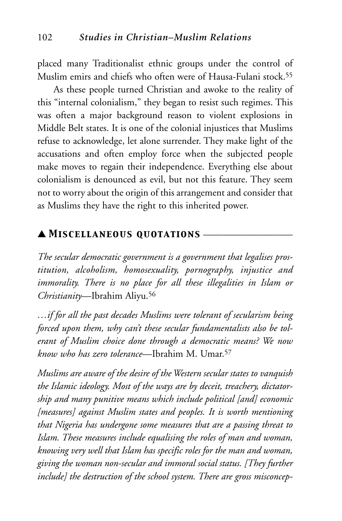placed many Traditionalist ethnic groups under the control of Muslim emirs and chiefs who often were of Hausa-Fulani stock.55

As these people turned Christian and awoke to the reality of this "internal colonialism," they began to resist such regimes. This was often a major background reason to violent explosions in Middle Belt states. It is one of the colonial injustices that Muslims refuse to acknowledge, let alone surrender. They make light of the accusations and often employ force when the subjected people make moves to regain their independence. Everything else about colonialism is denounced as evil, but not this feature. They seem not to worry about the origin of this arrangement and consider that as Muslims they have the right to this inherited power.

#### ▲ *Miscellaneous quotations* \_\_\_\_\_\_\_\_\_\_\_\_\_\_\_\_\_\_

*The secular democratic government is a government that legalises prostitution, alcoholism, homosexuality, pornography, injustice and immorality. There is no place for all these illegalities in Islam or Christianity*—Ibrahim Aliyu.56

*…if for all the past decades Muslims were tolerant of secularism being forced upon them, why can't these secular fundamentalists also be tolerant of Muslim choice done through a democratic means? We now know who has zero tolerance*—Ibrahim M. Umar.57

*Muslims are aware of the desire of the Western secular states to vanquish the Islamic ideology. Most of the ways are by deceit, treachery, dictatorship and many punitive means which include political [and] economic [measures] against Muslim states and peoples. It is worth mentioning that Nigeria has undergone some measures that are a passing threat to Islam. These measures include equalising the roles of man and woman, knowing very well that Islam has specific roles for the man and woman, giving the woman non-secular and immoral social status. [They further include] the destruction of the school system. There are gross misconcep-*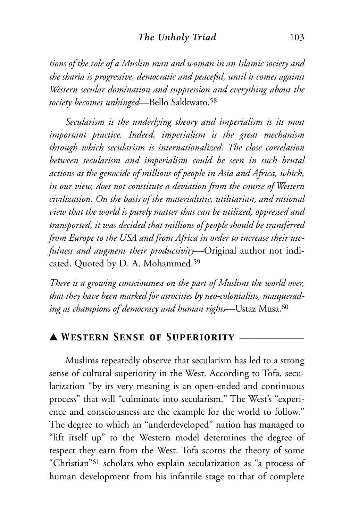#### **The Unholy Triad** 103

*tions of the role of a Muslim man and woman in an Islamic society and the sharia is progressive, democratic and peaceful, until it comes against Western secular domination and suppression and everything about the society becomes unhinged*—Bello Sakkwato.58

*Secularism is the underlying theory and imperialism is its most important practice. Indeed, imperialism is the great mechanism through which secularism is internationalized. The close correlation between secularism and imperialism could be seen in such brutal actions as the genocide of millions of people in Asia and Africa, which, in our view, does not constitute a deviation from the course of Western civilization. On the basis of the materialistic, utilitarian, and rational view that the world is purely matter that can be utilized, oppressed and transported, it was decided that millions of people should be transferred from Europe to the USA and from Africa in order to increase their usefulness and augment their productivity*—Original author not indicated. Quoted by D. A. Mohammed.59

*There is a growing consciousness on the part of Muslims the world over, that they have been marked for atrocities by neo-colonialists, masquerading as champions of democracy and human rights*—Ustaz Musa.60

# ▲ *Western Sense of Superiority* \_\_\_\_\_\_\_\_\_\_\_\_\_

Muslims repeatedly observe that secularism has led to a strong sense of cultural superiority in the West. According to Tofa, secularization "by its very meaning is an open-ended and continuous process" that will "culminate into secularism." The West's "experience and consciousness are the example for the world to follow." The degree to which an "underdeveloped" nation has managed to "lift itself up" to the Western model determines the degree of respect they earn from the West. Tofa scorns the theory of some "Christian"61 scholars who explain secularization as "a process of human development from his infantile stage to that of complete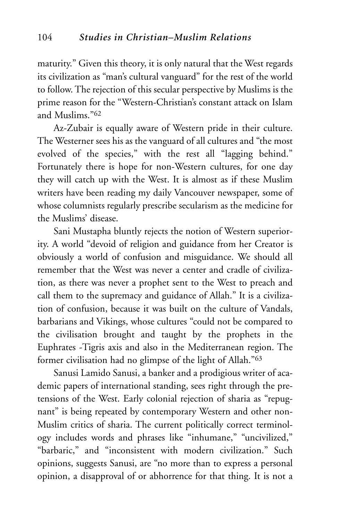maturity." Given this theory, it is only natural that the West regards its civilization as "man's cultural vanguard" for the rest of the world to follow. The rejection of this secular perspective by Muslims is the prime reason for the "Western-Christian's constant attack on Islam and Muslims."62

Az-Zubair is equally aware of Western pride in their culture. The Westerner sees his as the vanguard of all cultures and "the most evolved of the species," with the rest all "lagging behind." Fortunately there is hope for non-Western cultures, for one day they will catch up with the West. It is almost as if these Muslim writers have been reading my daily Vancouver newspaper, some of whose columnists regularly prescribe secularism as the medicine for the Muslims' disease.

Sani Mustapha bluntly rejects the notion of Western superiority. A world "devoid of religion and guidance from her Creator is obviously a world of confusion and misguidance. We should all remember that the West was never a center and cradle of civilization, as there was never a prophet sent to the West to preach and call them to the supremacy and guidance of Allah." It is a civilization of confusion, because it was built on the culture of Vandals, barbarians and Vikings, whose cultures "could not be compared to the civilisation brought and taught by the prophets in the Euphrates -Tigris axis and also in the Mediterranean region. The former civilisation had no glimpse of the light of Allah."63

Sanusi Lamido Sanusi, a banker and a prodigious writer of academic papers of international standing, sees right through the pretensions of the West. Early colonial rejection of sharia as "repugnant" is being repeated by contemporary Western and other non-Muslim critics of sharia. The current politically correct terminology includes words and phrases like "inhumane," "uncivilized," "barbaric," and "inconsistent with modern civilization." Such opinions, suggests Sanusi, are "no more than to express a personal opinion, a disapproval of or abhorrence for that thing. It is not a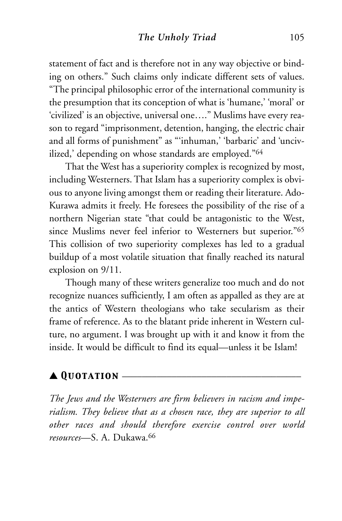statement of fact and is therefore not in any way objective or binding on others." Such claims only indicate different sets of values. "The principal philosophic error of the international community is the presumption that its conception of what is 'humane,' 'moral' or 'civilized' is an objective, universal one…." Muslims have every reason to regard "imprisonment, detention, hanging, the electric chair and all forms of punishment" as "'inhuman,' 'barbaric' and 'uncivilized,' depending on whose standards are employed."64

That the West has a superiority complex is recognized by most, including Westerners. That Islam has a superiority complex is obvious to anyone living amongst them or reading their literature. Ado-Kurawa admits it freely. He foresees the possibility of the rise of a northern Nigerian state "that could be antagonistic to the West, since Muslims never feel inferior to Westerners but superior."65 This collision of two superiority complexes has led to a gradual buildup of a most volatile situation that finally reached its natural explosion on 9/11.

Though many of these writers generalize too much and do not recognize nuances sufficiently, I am often as appalled as they are at the antics of Western theologians who take secularism as their frame of reference. As to the blatant pride inherent in Western culture, no argument. I was brought up with it and know it from the inside. It would be difficult to find its equal—unless it be Islam!

# ▲ *Quotation* \_\_\_\_\_\_\_\_\_\_\_\_\_\_\_\_\_\_\_\_\_\_\_\_\_\_\_\_\_\_\_\_\_\_\_\_

*The Jews and the Westerners are firm believers in racism and imperialism. They believe that as a chosen race, they are superior to all other races and should therefore exercise control over world resources*—S. A. Dukawa.66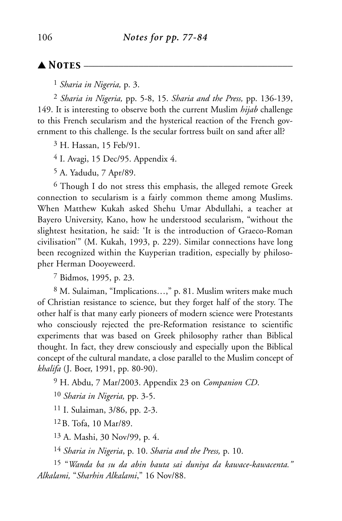### $\blacktriangle$  **Notes** –

1 *Sharia in Nigeria,* p. 3.

2 *Sharia in Nigeria,* pp. 5-8, 15. *Sharia and the Press,* pp. 136-139, 149. It is interesting to observe both the current Muslim *hijab* challenge to this French secularism and the hysterical reaction of the French government to this challenge. Is the secular fortress built on sand after all?

3 H. Hassan, 15 Feb/91.

4 I. Avagi, 15 Dec/95. Appendix 4.

5 A. Yadudu, 7 Apr/89.

6 Though I do not stress this emphasis, the alleged remote Greek connection to secularism is a fairly common theme among Muslims. When Matthew Kukah asked Shehu Umar Abdullahi, a teacher at Bayero University, Kano, how he understood secularism, "without the slightest hesitation, he said: 'It is the introduction of Graeco-Roman civilisation'" (M. Kukah, 1993, p. 229). Similar connections have long been recognized within the Kuyperian tradition, especially by philosopher Herman Dooyeweerd.

7 Bidmos, 1995, p. 23.

8 M. Sulaiman, "Implications…," p. 81. Muslim writers make much of Christian resistance to science, but they forget half of the story. The other half is that many early pioneers of modern science were Protestants who consciously rejected the pre-Reformation resistance to scientific experiments that was based on Greek philosophy rather than Biblical thought. In fact, they drew consciously and especially upon the Biblical concept of the cultural mandate, a close parallel to the Muslim concept of *khalifa* (J. Boer, 1991, pp. 80-90).

9 H. Abdu, 7 Mar/2003. Appendix 23 on *Companion CD*.

10 *Sharia in Nigeria,* pp. 3-5.

11 I. Sulaiman, 3/86, pp. 2-3.

12B. Tofa, 10 Mar/89.

13 A. Mashi, 30 Nov/99, p. 4.

14 *Sharia in Nigeria*, p. 10. *Sharia and the Press,* p. 10.

15 "*Wanda ba su da abin bauta sai duniya da kawace-kawacenta." Alkalami,* "*Sharhin Alkalami*," 16 Nov/88.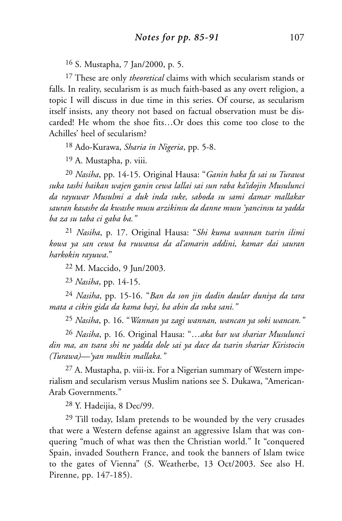16 S. Mustapha, 7 Jan/2000, p. 5.

17 These are only *theoretical* claims with which secularism stands or falls. In reality, secularism is as much faith-based as any overt religion, a topic I will discuss in due time in this series. Of course, as secularism itself insists, any theory not based on factual observation must be discarded! He whom the shoe fits…Or does this come too close to the Achilles' heel of secularism?

18 Ado-Kurawa, *Sharia in Nigeria*, pp. 5-8.

19 A. Mustapha, p. viii.

20 *Nasiha*, pp. 14-15. Original Hausa: "*Ganin haka fa sai su Turawa suka tashi haikan wajen ganin cewa lallai sai sun raba ka'idojin Musulunci da rayuwar Musulmi a duk inda suke, saboda su sami damar mallakar sauran kasashe da kwashe musu arzikinsu da danne musu 'yancinsu ta yadda ba za su taba ci gaba ba."*

21 *Nasiha*, p. 17. Original Hausa: "*Shi kuma wannan tsarin ilimi kowa ya san cewa ba ruwansa da al'amarin addini, kamar dai sauran harkokin rayuwa*."

22 M. Maccido, 9 Jun/2003.

23 *Nasiha*, pp. 14-15.

24 *Nasiha*, pp. 15-16. "*Ban da son jin dadin daular duniya da tara mata a cikin gida da kama bayi, ba abin da suka sani."*

25 *Nasiha*, p. 16. "*Wannan ya zagi wannan, wancan ya soki wancan."*

26 *Nasiha*, p. 16. Original Hausa: "…*aka bar wa shariar Musulunci din ma, an tsara shi ne yadda dole sai ya dace da tsarin shariar Kiristocin (Turawa)—'yan mulkin mallaka."*

27 A. Mustapha, p. viii-ix. For a Nigerian summary of Western imperialism and secularism versus Muslim nations see S. Dukawa, "American-Arab Governments."

28 Y. Hadeijia, 8 Dec/99.

29 Till today, Islam pretends to be wounded by the very crusades that were a Western defense against an aggressive Islam that was conquering "much of what was then the Christian world." It "conquered Spain, invaded Southern France, and took the banners of Islam twice to the gates of Vienna" (S. Weatherbe, 13 Oct/2003. See also H. Pirenne, pp. 147-185).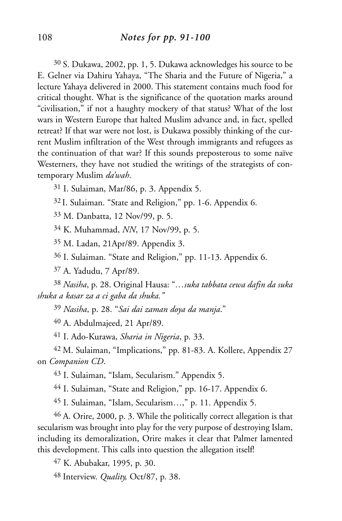30 S. Dukawa, 2002, pp. 1, 5. Dukawa acknowledges his source to be E. Gelner via Dahiru Yahaya, "The Sharia and the Future of Nigeria," a lecture Yahaya delivered in 2000. This statement contains much food for critical thought. What is the significance of the quotation marks around "civilisation," if not a haughty mockery of that status? What of the lost wars in Western Europe that halted Muslim advance and, in fact, spelled retreat? If that war were not lost, is Dukawa possibly thinking of the current Muslim infiltration of the West through immigrants and refugees as the continuation of that war? If this sounds preposterous to some naïve Westerners, they have not studied the writings of the strategists of contemporary Muslim *da'wah*.

31 I. Sulaiman, Mar/86, p. 3. Appendix 5.

32 I. Sulaiman. "State and Religion," pp. 1-6. Appendix 6.

33 M. Danbatta, 12 Nov/99, p. 5.

34 K. Muhammad, *NN*, 17 Nov/99, p. 5.

35 M. Ladan, 21Apr/89. Appendix 3.

36 I. Sulaiman. "State and Religion," pp. 11-13. Appendix 6.

37 A. Yadudu, 7 Apr/89.

38 *Nasiha*, p. 28. Original Hausa: "*…suka tabbata cewa dafin da suka shuka a kasar za a ci gaba da shuka."*

39 *Nasiha*, p. 28. "*Sai dai zaman doya da manja*."

40 A. Abdulmajeed, 21 Apr/89.

41 I. Ado-Kurawa, *Sharia in Nigeria*, p. 33.

42 M. Sulaiman, "Implications," pp. 81-83. A. Kollere, Appendix 27 on *Companion CD*.

43 I. Sulaiman, "Islam, Secularism." Appendix 5.

44 I. Sulaiman, "State and Religion," pp. 16-17. Appendix 6.

45 I. Sulaiman, "Islam, Secularism…," p. 11. Appendix 5.

46 A. Orire, 2000, p. 3. While the politically correct allegation is that secularism was brought into play for the very purpose of destroying Islam, including its demoralization, Orire makes it clear that Palmer lamented this development. This calls into question the allegation itself!

47 K. Abubakar, 1995, p. 30.

48 Interview. *Quality,* Oct/87, p. 38.